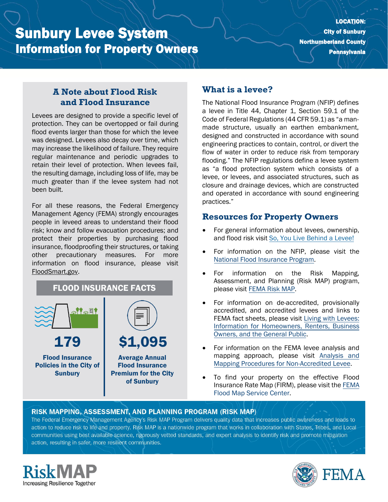# Sunbury Levee System Information for Property Owners

#### **A Note about Flood Risk and Flood Insurance**

Levees are designed to provide a specific level of protection. They can be overtopped or fail during flood events larger than those for which the levee was designed. Levees also decay over time, which may increase the likelihood of failure. They require regular maintenance and periodic upgrades to retain their level of protection. When levees fail, the resulting damage, including loss of life, may be much greater than if the levee system had not been built.

For all these reasons, the Federal Emergency Management Agency (FEMA) strongly encourages people in leveed areas to understand their flood risk; know and follow evacuation procedures; and protect their properties by purchasing flood insurance, floodproofing their structures, or taking other precautionary measures. For more information on flood insurance, please visit [FloodSmart.gov.](https://www.floodsmart.gov/)



### **What is a levee?**

The National Flood Insurance Program (NFIP) defines a levee in Title 44, Chapter 1, Section 59.1 of the Code of Federal Regulations (44 CFR 59.1) as "a manmade structure, usually an earthen embankment, designed and constructed in accordance with sound engineering practices to contain, control, or divert the flow of water in order to reduce risk from temporary flooding." The NFIP regulations define a levee system as "a flood protection system which consists of a levee, or levees, and associated structures, such as closure and drainage devices, which are constructed and operated in accordance with sound engineering practices."

#### **Resources for Property Owners**

- For general information about levees, ownership, and flood risk visit [So, You Live Behind a Levee!](https://ascelibrary.org/doi/book/10.1061/9780784410837)
- For information on the NFIP, please visit th[e](https://www.fema.gov/national-flood-insurance-program) [National Flood Insurance Program.](https://www.fema.gov/national-flood-insurance-program)
- For information on the Risk Mapping, Assessment, and Planning (Risk MAP) program, please visit [FEMA Risk MAP.](https://www.fema.gov/flood-maps/tools-resources/risk-map)
- For information on de-accredited, provisionally accredited, and accredited levees and links to FEMA fact sheets, please visit [Living with Levees:](https://www.fema.gov/flood-maps/living-levees) [Information for Homeowners, Renters, Business](https://www.fema.gov/flood-maps/living-levees) [Owners, and the General Public.](https://www.fema.gov/flood-maps/living-levees)
- For information on the FEMA levee analysis and mapping approach, please visit [Analysis and](https://www.fema.gov/media-library-data/20130726-1922-25045-4455/20130703_approachdocument_508.pdf) [Mapping Procedures for Non-Accredited Levee.](https://www.fema.gov/media-library-data/20130726-1922-25045-4455/20130703_approachdocument_508.pdf)
- To find your property on the effective Flood Insurance Rate Map (FIRM), please visit th[e FEMA](https://msc.fema.gov/portal/) [Flood Map Service Center.](https://msc.fema.gov/portal/)

#### RISK MAPPING, ASSESSMENT, AND PLANNING PROGRAM (RISK MAP)

The Federal Emergency Management Agency's Risk MAP Program delivers quality data that increases public awareness and leads to action to reduce risk to life and property. Risk MAP is a nationwide program that works in collaboration with States, Tribes, and Localcommunities using best available science, rigorously vetted standards, and expert analysis to identify risk and promote mitigation action, resulting in safer, more resilient communities.